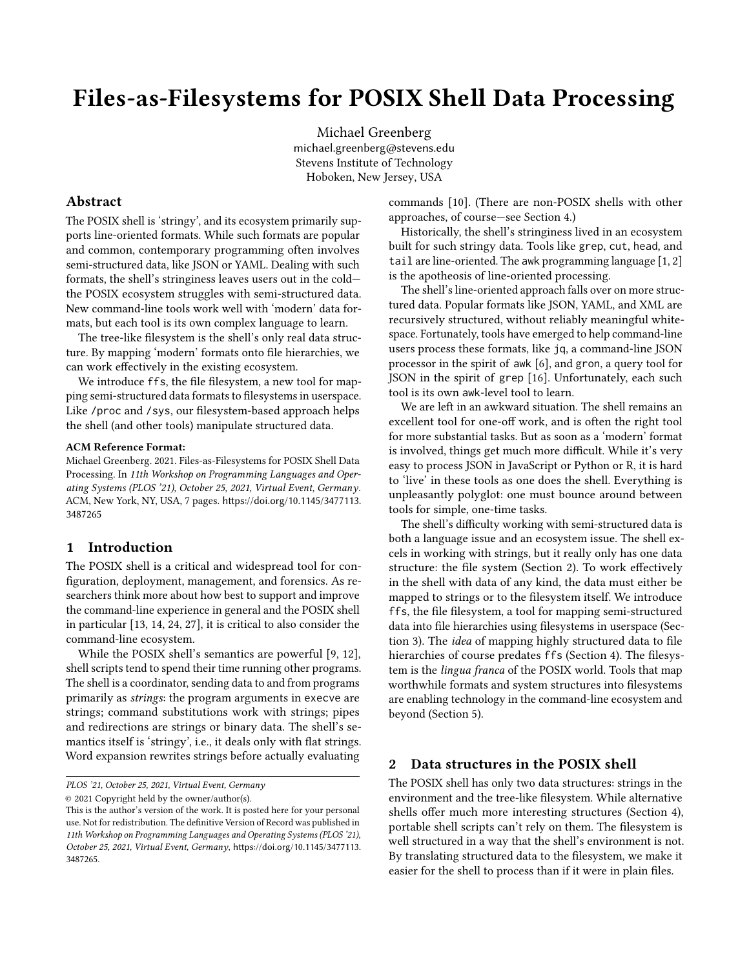# Files-as-Filesystems for POSIX Shell Data Processing

[Michael Greenberg](https://orcid.org/0000-0003-0014-7670) michael.greenberg@stevens.edu Stevens Institute of Technology Hoboken, New Jersey, USA

## Abstract

The POSIX shell is 'stringy', and its ecosystem primarily supports line-oriented formats. While such formats are popular and common, contemporary programming often involves semi-structured data, like JSON or YAML. Dealing with such formats, the shell's stringiness leaves users out in the cold the POSIX ecosystem struggles with semi-structured data. New command-line tools work well with 'modern' data formats, but each tool is its own complex language to learn.

The tree-like filesystem is the shell's only real data structure. By mapping 'modern' formats onto file hierarchies, we can work effectively in the existing ecosystem.

We introduce ffs, the file filesystem, a new tool for mapping semi-structured data formats to filesystems in userspace. Like /proc and /sys, our filesystem-based approach helps the shell (and other tools) manipulate structured data.

#### ACM Reference Format:

Michael Greenberg. 2021. Files-as-Filesystems for POSIX Shell Data Processing. In 11th Workshop on Programming Languages and Operating Systems (PLOS '21), October 25, 2021, Virtual Event, Germany. ACM, New York, NY, USA, [7](#page-6-0) pages. [https://doi.org/10.1145/3477113.](https://doi.org/10.1145/3477113.3487265) [3487265](https://doi.org/10.1145/3477113.3487265)

## 1 Introduction

The POSIX shell is a critical and widespread tool for configuration, deployment, management, and forensics. As researchers think more about how best to support and improve the command-line experience in general and the POSIX shell in particular [\[13,](#page-6-1) [14,](#page-6-2) [24,](#page-6-3) [27\]](#page-6-4), it is critical to also consider the command-line ecosystem.

While the POSIX shell's semantics are powerful [\[9,](#page-5-0) [12\]](#page-6-5), shell scripts tend to spend their time running other programs. The shell is a coordinator, sending data to and from programs primarily as strings: the program arguments in execve are strings; command substitutions work with strings; pipes and redirections are strings or binary data. The shell's semantics itself is 'stringy', i.e., it deals only with flat strings. Word expansion rewrites strings before actually evaluating

PLOS '21, October 25, 2021, Virtual Event, Germany

© 2021 Copyright held by the owner/author(s).

commands [\[10\]](#page-6-6). (There are non-POSIX shells with other approaches, of course—see Section [4.](#page-4-0))

Historically, the shell's stringiness lived in an ecosystem built for such stringy data. Tools like grep, cut, head, and tail are line-oriented. The awk programming language [\[1,](#page-5-1) [2\]](#page-5-2) is the apotheosis of line-oriented processing.

The shell's line-oriented approach falls over on more structured data. Popular formats like JSON, YAML, and XML are recursively structured, without reliably meaningful whitespace. Fortunately, tools have emerged to help command-line users process these formats, like jq, a command-line JSON processor in the spirit of awk [\[6\]](#page-5-3), and gron, a query tool for JSON in the spirit of grep [\[16\]](#page-6-7). Unfortunately, each such tool is its own awk-level tool to learn.

We are left in an awkward situation. The shell remains an excellent tool for one-off work, and is often the right tool for more substantial tasks. But as soon as a 'modern' format is involved, things get much more difficult. While it's very easy to process JSON in JavaScript or Python or R, it is hard to 'live' in these tools as one does the shell. Everything is unpleasantly polyglot: one must bounce around between tools for simple, one-time tasks.

The shell's difficulty working with semi-structured data is both a language issue and an ecosystem issue. The shell excels in working with strings, but it really only has one data structure: the file system (Section [2\)](#page-0-0). To work effectively in the shell with data of any kind, the data must either be mapped to strings or to the filesystem itself. We introduce ffs, the file filesystem, a tool for mapping semi-structured data into file hierarchies using filesystems in userspace (Section [3\)](#page-1-0). The idea of mapping highly structured data to file hierarchies of course predates ffs (Section [4\)](#page-4-0). The filesystem is the lingua franca of the POSIX world. Tools that map worthwhile formats and system structures into filesystems are enabling technology in the command-line ecosystem and beyond (Section [5\)](#page-5-4).

## <span id="page-0-0"></span>2 Data structures in the POSIX shell

The POSIX shell has only two data structures: strings in the environment and the tree-like filesystem. While alternative shells offer much more interesting structures (Section [4\)](#page-4-0), portable shell scripts can't rely on them. The filesystem is well structured in a way that the shell's environment is not. By translating structured data to the filesystem, we make it easier for the shell to process than if it were in plain files.

This is the author's version of the work. It is posted here for your personal use. Not for redistribution. The definitive Version of Record was published in 11th Workshop on Programming Languages and Operating Systems (PLOS '21), October 25, 2021, Virtual Event, Germany, [https://doi.org/10.1145/3477113.](https://doi.org/10.1145/3477113.3487265) [3487265](https://doi.org/10.1145/3477113.3487265).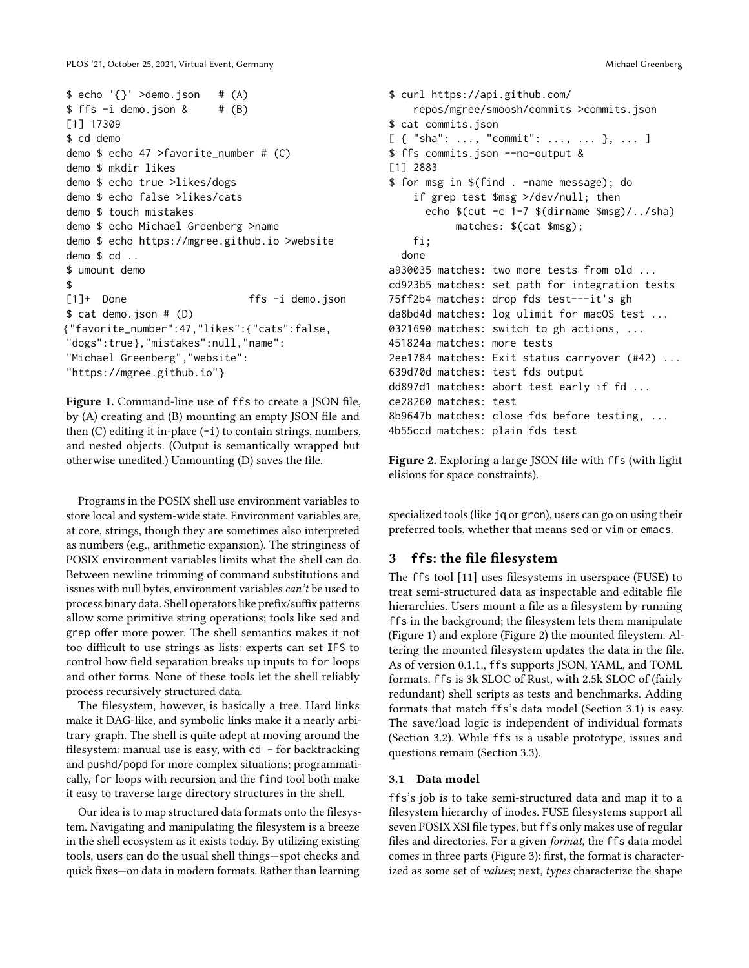```
$echo '{}' >demo.json # (A)$ ffs -i demo.json & \# (B)
[1] 17309
$ cd demo
demo $ echo 47 >favorite_number # (C)
demo $ mkdir likes
demo $ echo true >likes/dogs
demo $ echo false >likes/cats
demo $ touch mistakes
demo $ echo Michael Greenberg >name
demo $ echo https://mgree.github.io >website
demo $ cd ..
$ umount demo
$
[1]+ Done ffs -i demo.json
$ cat demo.json # (D)
{"favorite_number":47,"likes":{"cats":false,
"dogs":true},"mistakes":null,"name":
"Michael Greenberg","website":
"https://mgree.github.io"}
```
Figure 1. Command-line use of ffs to create a JSON file, by (A) creating and (B) mounting an empty JSON file and then  $(C)$  editing it in-place  $(-i)$  to contain strings, numbers, and nested objects. (Output is semantically wrapped but otherwise unedited.) Unmounting (D) saves the file.

Programs in the POSIX shell use environment variables to store local and system-wide state. Environment variables are, at core, strings, though they are sometimes also interpreted as numbers (e.g., arithmetic expansion). The stringiness of POSIX environment variables limits what the shell can do. Between newline trimming of command substitutions and issues with null bytes, environment variables can't be used to process binary data. Shell operators like prefix/suffix patterns allow some primitive string operations; tools like sed and grep offer more power. The shell semantics makes it not too difficult to use strings as lists: experts can set IFS to control how field separation breaks up inputs to for loops and other forms. None of these tools let the shell reliably process recursively structured data.

The filesystem, however, is basically a tree. Hard links make it DAG-like, and symbolic links make it a nearly arbitrary graph. The shell is quite adept at moving around the filesystem: manual use is easy, with  $cd - for$  backtracking and pushd/popd for more complex situations; programmatically, for loops with recursion and the find tool both make it easy to traverse large directory structures in the shell.

Our idea is to map structured data formats onto the filesystem. Navigating and manipulating the filesystem is a breeze in the shell ecosystem as it exists today. By utilizing existing tools, users can do the usual shell things—spot checks and quick fixes—on data in modern formats. Rather than learning

```
$ curl https://api.github.com/
    repos/mgree/smoosh/commits >commits.json
$ cat commits.json
[ { "sha": ..., "commit": ..., ... }, ... ]
$ ffs commits.json --no-output &
[1] 2883
$ for msg in $(find . -name message); do
    if grep test $msg >/dev/null; then
      echo \{(cut -c 1-7 \text{ $(dimensiones]}/1.7)matches: $(cat $msg);
    fi;
  done
a930035 matches: two more tests from old ...
cd923b5 matches: set path for integration tests
75ff2b4 matches: drop fds test---it's gh
da8bd4d matches: log ulimit for macOS test ...
0321690 matches: switch to gh actions, ...
451824a matches: more tests
2ee1784 matches: Exit status carryover (#42) ...
639d70d matches: test fds output
dd897d1 matches: abort test early if fd ...
ce28260 matches: test
8b9647b matches: close fds before testing, ...
4b55ccd matches: plain fds test
```
Figure 2. Exploring a large JSON file with ffs (with light elisions for space constraints).

specialized tools (like jq or gron), users can go on using their preferred tools, whether that means sed or vim or emacs.

# <span id="page-1-0"></span>3 **ffs**: the file filesystem

The ffs tool [\[11\]](#page-6-8) uses filesystems in userspace (FUSE) to treat semi-structured data as inspectable and editable file hierarchies. Users mount a file as a filesystem by running ffs in the background; the filesystem lets them manipulate (Figure [1\)](#page-1-1) and explore (Figure [2\)](#page-1-2) the mounted fileystem. Altering the mounted filesystem updates the data in the file. As of version 0.1.1., ffs supports JSON, YAML, and TOML formats. ffs is 3k SLOC of Rust, with 2.5k SLOC of (fairly redundant) shell scripts as tests and benchmarks. Adding formats that match ffs's data model (Section [3.1\)](#page-1-3) is easy. The save/load logic is independent of individual formats (Section [3.2\)](#page-2-0). While ffs is a usable prototype, issues and questions remain (Section [3.3\)](#page-3-0).

## <span id="page-1-3"></span>3.1 Data model

ffs's job is to take semi-structured data and map it to a filesystem hierarchy of inodes. FUSE filesystems support all seven POSIX XSI file types, but ffs only makes use of regular files and directories. For a given format, the ffs data model comes in three parts (Figure [3\)](#page-2-1): first, the format is characterized as some set of *values*; next, types characterize the shape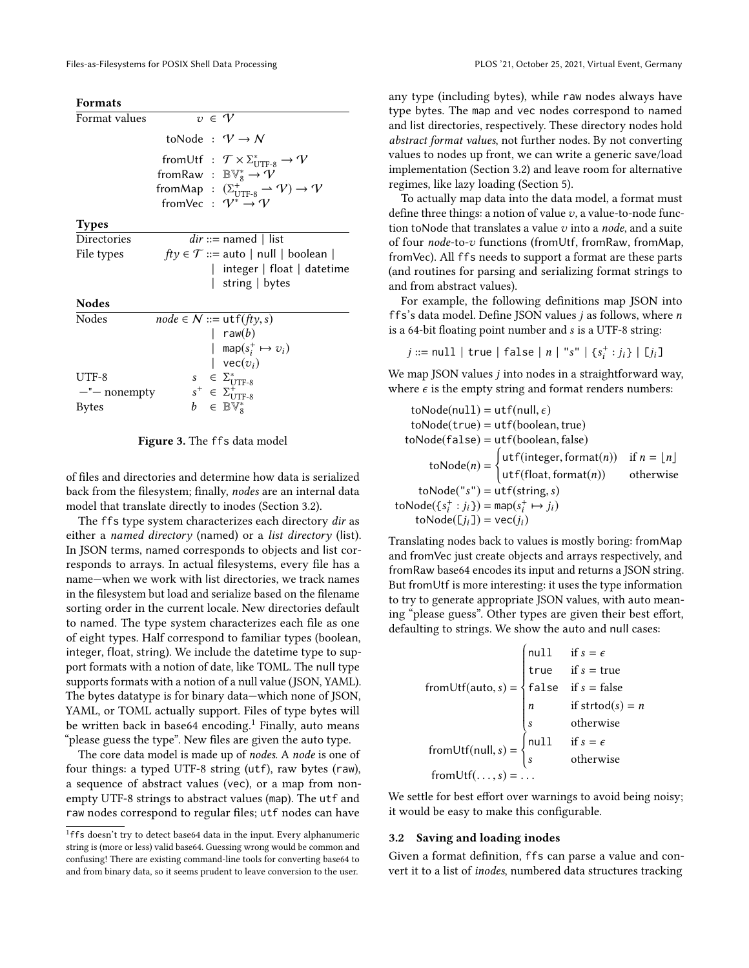<span id="page-2-1"></span>

| <b>Formats</b>     |  |                                                                                       |
|--------------------|--|---------------------------------------------------------------------------------------|
| Format values      |  | $v \in V$                                                                             |
|                    |  | toNode : $V \rightarrow N$                                                            |
|                    |  | from Utf : $\mathcal{T} \times \Sigma_{\text{UTF-8}}^* \to \mathcal{V}$               |
|                    |  | from Raw : $\mathbb{BV}_{8}^{*} \to \mathcal{V}$                                      |
|                    |  | fromMap : $(\Sigma_{\text{UTF-8}}^+ \rightarrow \mathcal{V}) \rightarrow \mathcal{V}$ |
|                    |  | fromVec : $V^* \rightarrow V$                                                         |
| <b>Types</b>       |  |                                                                                       |
| Directories        |  | $dir ::=$ named   list                                                                |
| File types         |  | $fty \in T ::=$ auto   null   boolean                                                 |
|                    |  | integer   float   datetime                                                            |
|                    |  | string $\vert$ bytes                                                                  |
| <b>Nodes</b>       |  |                                                                                       |
| Nodes              |  | $node \in N ::= \text{utf}(fly, s)$                                                   |
|                    |  | $raw(b)$                                                                              |
|                    |  | map $(s_i^+ \mapsto v_i)$                                                             |
|                    |  | $\vert$ vec $(v_i)$                                                                   |
| UTF-8              |  |                                                                                       |
| $-$ " $-$ nonempty |  | $s^+ \in \Sigma_{\text{UTF-8}}^*$<br>$s^+ \in \Sigma_{\text{UTF-8}}^*$                |
| <b>Bytes</b>       |  | $b \in \mathbb{BV}^*_{\mathbf{S}}$                                                    |
|                    |  |                                                                                       |

#### Figure 3. The ffs data model

of files and directories and determine how data is serialized back from the filesystem; finally, nodes are an internal data model that translate directly to inodes (Section [3.2\)](#page-2-0).

The ffs type system characterizes each directory dir as either a named directory (named) or a list directory (list). In JSON terms, named corresponds to objects and list corresponds to arrays. In actual filesystems, every file has a name—when we work with list directories, we track names in the filesystem but load and serialize based on the filename sorting order in the current locale. New directories default to named. The type system characterizes each file as one of eight types. Half correspond to familiar types (boolean, integer, float, string). We include the datetime type to support formats with a notion of date, like TOML. The null type supports formats with a notion of a null value (JSON, YAML). The bytes datatype is for binary data—which none of JSON, YAML, or TOML actually support. Files of type bytes will be written back in base64 encoding.<sup>[1](#page-2-2)</sup> Finally, auto means "please guess the type". New files are given the auto type.

The core data model is made up of nodes. A node is one of four things: a typed UTF-8 string (utf), raw bytes (raw), a sequence of abstract values (vec), or a map from nonempty UTF-8 strings to abstract values (map). The utf and raw nodes correspond to regular files; utf nodes can have

any type (including bytes), while raw nodes always have type bytes. The map and vec nodes correspond to named and list directories, respectively. These directory nodes hold abstract format values, not further nodes. By not converting values to nodes up front, we can write a generic save/load implementation (Section [3.2\)](#page-2-0) and leave room for alternative regimes, like lazy loading (Section [5\)](#page-5-4).

To actually map data into the data model, a format must define three things: a notion of value  $v$ , a value-to-node function toNode that translates a value  $v$  into a node, and a suite of four node-to-v functions (fromUtf, fromRaw, fromMap, fromVec). All ffs needs to support a format are these parts (and routines for parsing and serializing format strings to and from abstract values).

For example, the following definitions map JSON into ffs's data model. Define JSON values j as follows, where n is a 64-bit floating point number and s is a UTF-8 string:

$$
j ::= \texttt{null} \mid \texttt{true} \mid \texttt{false} \mid n \mid "s" \mid \{s^+_i : j_i\} \mid [j_i]
$$

We map JSON values *j* into nodes in a straightforward way, where  $\epsilon$  is the empty string and format renders numbers:

$$
toNode(num1) = utf(numl, \varepsilon)
$$
\n
$$
toNode(true) = utf(boolean, true)
$$
\n
$$
toNode(false) = utf(boolean, false)
$$
\n
$$
toNode(n) = \begin{cases} utf(integer, format(n)) & \text{if } n = \lfloor n \rfloor \\ utf(float, format(n)) & \text{otherwise} \end{cases}
$$
\n
$$
toNode('s") = utf(string, s)
$$
\n
$$
toNode([s_i^+:j_i]) = map(s_i^+ \mapsto j_i)
$$
\n
$$
toNode([j_i]) = vec(j_i)
$$

Translating nodes back to values is mostly boring: fromMap and fromVec just create objects and arrays respectively, and fromRaw base64 encodes its input and returns a JSON string. But fromUtf is more interesting: it uses the type information to try to generate appropriate JSON values, with auto meaning "please guess". Other types are given their best effort, defaulting to strings. We show the auto and null cases:

$$
from Utf(auto, s) = \begin{cases} null & \text{if } s = \epsilon \\ true & \text{if } s = \text{true} \\ false & \text{if } s = \text{false} \\ n & \text{if } \text{strod}(s) = n \\ s & \text{otherwise} \end{cases}
$$
  
from Utf(null, s) = 
$$
\begin{cases} null & \text{if } s = \epsilon \\ s & \text{otherwise} \end{cases}
$$
  
from Utf(..., s) = ...

We settle for best effort over warnings to avoid being noisy; it would be easy to make this configurable.

#### <span id="page-2-0"></span>3.2 Saving and loading inodes

Given a format definition, ffs can parse a value and convert it to a list of inodes, numbered data structures tracking

<span id="page-2-2"></span><sup>&</sup>lt;sup>1</sup>ffs doesn't try to detect base64 data in the input. Every alphanumeric string is (more or less) valid base64. Guessing wrong would be common and confusing! There are existing command-line tools for converting base64 to and from binary data, so it seems prudent to leave conversion to the user.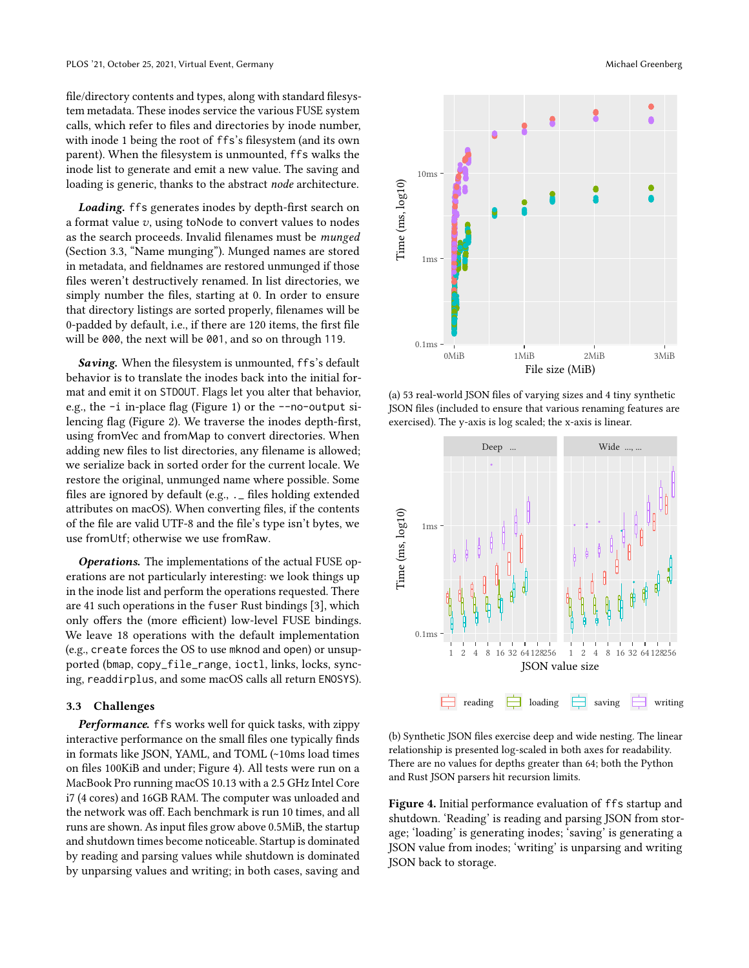file/directory contents and types, along with standard filesystem metadata. These inodes service the various FUSE system calls, which refer to files and directories by inode number, with inode 1 being the root of ffs's filesystem (and its own parent). When the filesystem is unmounted, ffs walks the inode list to generate and emit a new value. The saving and loading is generic, thanks to the abstract node architecture.

Loading. ffs generates inodes by depth-first search on a format value  $v$ , using to Node to convert values to nodes as the search proceeds. Invalid filenames must be munged (Section [3.3,](#page-3-0) "Name munging"). Munged names are stored in metadata, and fieldnames are restored unmunged if those files weren't destructively renamed. In list directories, we simply number the files, starting at 0. In order to ensure that directory listings are sorted properly, filenames will be 0-padded by default, i.e., if there are 120 items, the first file will be 000, the next will be 001, and so on through 119.

Saving. When the filesystem is unmounted, ffs's default behavior is to translate the inodes back into the initial format and emit it on STDOUT. Flags let you alter that behavior, e.g., the -i in-place flag (Figure [1\)](#page-1-1) or the --no-output silencing flag (Figure [2\)](#page-1-2). We traverse the inodes depth-first, using fromVec and fromMap to convert directories. When adding new files to list directories, any filename is allowed; we serialize back in sorted order for the current locale. We restore the original, unmunged name where possible. Some files are ignored by default (e.g., .\_ files holding extended attributes on macOS). When converting files, if the contents of the file are valid UTF-8 and the file's type isn't bytes, we use fromUtf; otherwise we use fromRaw.

Operations. The implementations of the actual FUSE operations are not particularly interesting: we look things up in the inode list and perform the operations requested. There are 41 such operations in the fuser Rust bindings [\[3\]](#page-5-5), which only offers the (more efficient) low-level FUSE bindings. We leave 18 operations with the default implementation (e.g., create forces the OS to use mknod and open) or unsupported (bmap, copy\_file\_range, ioctl, links, locks, syncing, readdirplus, and some macOS calls all return ENOSYS).

## <span id="page-3-0"></span>3.3 Challenges

Performance. ffs works well for quick tasks, with zippy interactive performance on the small files one typically finds in formats like JSON, YAML, and TOML (~10ms load times on files 100KiB and under; Figure [4\)](#page-3-1). All tests were run on a MacBook Pro running macOS 10.13 with a 2.5 GHz Intel Core i7 (4 cores) and 16GB RAM. The computer was unloaded and the network was off. Each benchmark is run 10 times, and all runs are shown. As input files grow above 0.5MiB, the startup and shutdown times become noticeable. Startup is dominated by reading and parsing values while shutdown is dominated by unparsing values and writing; in both cases, saving and

<span id="page-3-1"></span>

(a) 53 real-world JSON files of varying sizes and 4 tiny synthetic JSON files (included to ensure that various renaming features are exercised). The y-axis is log scaled; the x-axis is linear.



(b) Synthetic JSON files exercise deep and wide nesting. The linear relationship is presented log-scaled in both axes for readability. There are no values for depths greater than 64; both the Python and Rust JSON parsers hit recursion limits.

Figure 4. Initial performance evaluation of ffs startup and shutdown. 'Reading' is reading and parsing JSON from storage; 'loading' is generating inodes; 'saving' is generating a JSON value from inodes; 'writing' is unparsing and writing JSON back to storage.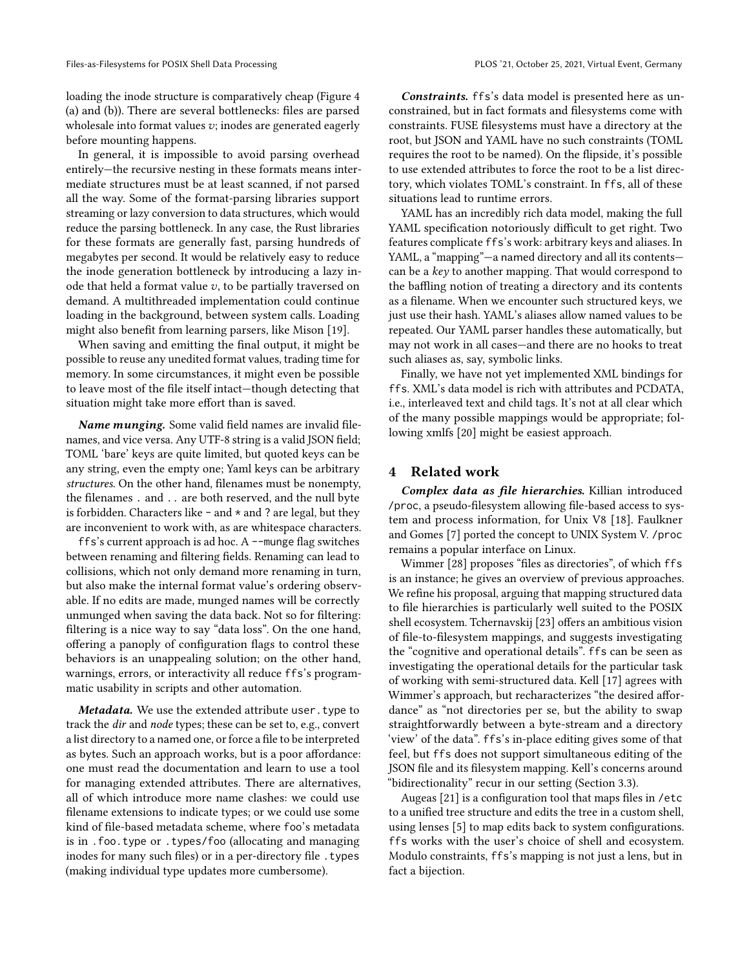loading the inode structure is comparatively cheap (Figure [4](#page-3-1) (a) and (b)). There are several bottlenecks: files are parsed wholesale into format values  $v$ ; inodes are generated eagerly before mounting happens.

In general, it is impossible to avoid parsing overhead entirely—the recursive nesting in these formats means intermediate structures must be at least scanned, if not parsed all the way. Some of the format-parsing libraries support streaming or lazy conversion to data structures, which would reduce the parsing bottleneck. In any case, the Rust libraries for these formats are generally fast, parsing hundreds of megabytes per second. It would be relatively easy to reduce the inode generation bottleneck by introducing a lazy inode that held a format value  $v$ , to be partially traversed on demand. A multithreaded implementation could continue loading in the background, between system calls. Loading might also benefit from learning parsers, like Mison [\[19\]](#page-6-9).

When saving and emitting the final output, it might be possible to reuse any unedited format values, trading time for memory. In some circumstances, it might even be possible to leave most of the file itself intact—though detecting that situation might take more effort than is saved.

Name munging. Some valid field names are invalid filenames, and vice versa. Any UTF-8 string is a valid JSON field; TOML 'bare' keys are quite limited, but quoted keys can be any string, even the empty one; Yaml keys can be arbitrary structures. On the other hand, filenames must be nonempty, the filenames . and .. are both reserved, and the null byte is forbidden. Characters like  $-$  and  $*$  and ? are legal, but they are inconvenient to work with, as are whitespace characters.

ffs's current approach is ad hoc. A --munge flag switches between renaming and filtering fields. Renaming can lead to collisions, which not only demand more renaming in turn, but also make the internal format value's ordering observable. If no edits are made, munged names will be correctly unmunged when saving the data back. Not so for filtering: filtering is a nice way to say "data loss". On the one hand, offering a panoply of configuration flags to control these behaviors is an unappealing solution; on the other hand, warnings, errors, or interactivity all reduce ffs's programmatic usability in scripts and other automation.

Metadata. We use the extended attribute user. type to track the dir and node types; these can be set to, e.g., convert a list directory to a named one, or force a file to be interpreted as bytes. Such an approach works, but is a poor affordance: one must read the documentation and learn to use a tool for managing extended attributes. There are alternatives, all of which introduce more name clashes: we could use filename extensions to indicate types; or we could use some kind of file-based metadata scheme, where foo's metadata is in .foo.type or .types/foo (allocating and managing inodes for many such files) or in a per-directory file . types (making individual type updates more cumbersome).

Constraints. ffs's data model is presented here as unconstrained, but in fact formats and filesystems come with constraints. FUSE filesystems must have a directory at the root, but JSON and YAML have no such constraints (TOML requires the root to be named). On the flipside, it's possible to use extended attributes to force the root to be a list directory, which violates TOML's constraint. In ffs, all of these situations lead to runtime errors.

YAML has an incredibly rich data model, making the full YAML specification notoriously difficult to get right. Two features complicate ffs's work: arbitrary keys and aliases. In YAML, a "mapping"—a named directory and all its contents can be a key to another mapping. That would correspond to the baffling notion of treating a directory and its contents as a filename. When we encounter such structured keys, we just use their hash. YAML's aliases allow named values to be repeated. Our YAML parser handles these automatically, but may not work in all cases—and there are no hooks to treat such aliases as, say, symbolic links.

Finally, we have not yet implemented XML bindings for ffs. XML's data model is rich with attributes and PCDATA, i.e., interleaved text and child tags. It's not at all clear which of the many possible mappings would be appropriate; following xmlfs [\[20\]](#page-6-10) might be easiest approach.

## <span id="page-4-0"></span>4 Related work

Complex data as file hierarchies. Killian introduced /proc, a pseudo-filesystem allowing file-based access to system and process information, for Unix V8 [\[18\]](#page-6-11). Faulkner and Gomes [\[7\]](#page-5-6) ported the concept to UNIX System V. /proc remains a popular interface on Linux.

Wimmer [\[28\]](#page-6-12) proposes "files as directories", of which ffs is an instance; he gives an overview of previous approaches. We refine his proposal, arguing that mapping structured data to file hierarchies is particularly well suited to the POSIX shell ecosystem. Tchernavskij [\[23\]](#page-6-13) offers an ambitious vision of file-to-filesystem mappings, and suggests investigating the "cognitive and operational details". ffs can be seen as investigating the operational details for the particular task of working with semi-structured data. Kell [\[17\]](#page-6-14) agrees with Wimmer's approach, but recharacterizes "the desired affordance" as "not directories per se, but the ability to swap straightforwardly between a byte-stream and a directory 'view' of the data". ffs's in-place editing gives some of that feel, but ffs does not support simultaneous editing of the JSON file and its filesystem mapping. Kell's concerns around "bidirectionality" recur in our setting (Section [3.3\)](#page-3-0).

Augeas [\[21\]](#page-6-15) is a configuration tool that maps files in /etc to a unified tree structure and edits the tree in a custom shell, using lenses [\[5\]](#page-5-7) to map edits back to system configurations. ffs works with the user's choice of shell and ecosystem. Modulo constraints, ffs's mapping is not just a lens, but in fact a bijection.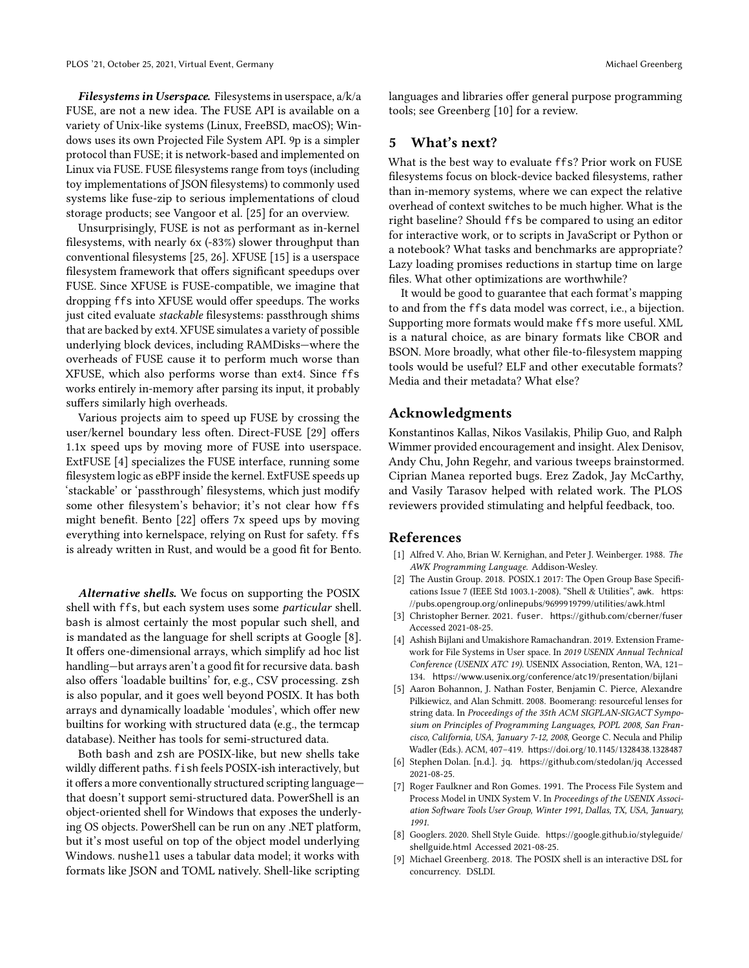Filesystems in Userspace. Filesystems in userspace, a/k/a FUSE, are not a new idea. The FUSE API is available on a variety of Unix-like systems (Linux, FreeBSD, macOS); Windows uses its own Projected File System API. 9p is a simpler protocol than FUSE; it is network-based and implemented on Linux via FUSE. FUSE filesystems range from toys (including toy implementations of JSON filesystems) to commonly used systems like fuse-zip to serious implementations of cloud storage products; see Vangoor et al. [\[25\]](#page-6-16) for an overview.

Unsurprisingly, FUSE is not as performant as in-kernel filesystems, with nearly 6x (-83%) slower throughput than conventional filesystems [\[25,](#page-6-16) [26\]](#page-6-17). XFUSE [\[15\]](#page-6-18) is a userspace filesystem framework that offers significant speedups over FUSE. Since XFUSE is FUSE-compatible, we imagine that dropping ffs into XFUSE would offer speedups. The works just cited evaluate stackable filesystems: passthrough shims that are backed by ext4. XFUSE simulates a variety of possible underlying block devices, including RAMDisks—where the overheads of FUSE cause it to perform much worse than XFUSE, which also performs worse than ext4. Since ffs works entirely in-memory after parsing its input, it probably suffers similarly high overheads.

Various projects aim to speed up FUSE by crossing the user/kernel boundary less often. Direct-FUSE [\[29\]](#page-6-19) offers 1.1x speed ups by moving more of FUSE into userspace. ExtFUSE [\[4\]](#page-5-8) specializes the FUSE interface, running some filesystem logic as eBPF inside the kernel. ExtFUSE speeds up 'stackable' or 'passthrough' filesystems, which just modify some other filesystem's behavior; it's not clear how ffs might benefit. Bento [\[22\]](#page-6-20) offers 7x speed ups by moving everything into kernelspace, relying on Rust for safety. ffs is already written in Rust, and would be a good fit for Bento.

Alternative shells. We focus on supporting the POSIX shell with ffs, but each system uses some particular shell. bash is almost certainly the most popular such shell, and is mandated as the language for shell scripts at Google [\[8\]](#page-5-9). It offers one-dimensional arrays, which simplify ad hoc list handling—but arrays aren't a good fit for recursive data. bash also offers 'loadable builtins' for, e.g., CSV processing. zsh is also popular, and it goes well beyond POSIX. It has both arrays and dynamically loadable 'modules', which offer new builtins for working with structured data (e.g., the termcap database). Neither has tools for semi-structured data.

Both bash and zsh are POSIX-like, but new shells take wildly different paths. fish feels POSIX-ish interactively, but it offers a more conventionally structured scripting language that doesn't support semi-structured data. PowerShell is an object-oriented shell for Windows that exposes the underlying OS objects. PowerShell can be run on any .NET platform, but it's most useful on top of the object model underlying Windows. nushell uses a tabular data model; it works with formats like JSON and TOML natively. Shell-like scripting

languages and libraries offer general purpose programming tools; see Greenberg [\[10\]](#page-6-6) for a review.

# <span id="page-5-4"></span>5 What's next?

What is the best way to evaluate ffs? Prior work on FUSE filesystems focus on block-device backed filesystems, rather than in-memory systems, where we can expect the relative overhead of context switches to be much higher. What is the right baseline? Should ffs be compared to using an editor for interactive work, or to scripts in JavaScript or Python or a notebook? What tasks and benchmarks are appropriate? Lazy loading promises reductions in startup time on large files. What other optimizations are worthwhile?

It would be good to guarantee that each format's mapping to and from the ffs data model was correct, i.e., a bijection. Supporting more formats would make ffs more useful. XML is a natural choice, as are binary formats like CBOR and BSON. More broadly, what other file-to-filesystem mapping tools would be useful? ELF and other executable formats? Media and their metadata? What else?

# Acknowledgments

Konstantinos Kallas, Nikos Vasilakis, Philip Guo, and Ralph Wimmer provided encouragement and insight. Alex Denisov, Andy Chu, John Regehr, and various tweeps brainstormed. Ciprian Manea reported bugs. Erez Zadok, Jay McCarthy, and Vasily Tarasov helped with related work. The PLOS reviewers provided stimulating and helpful feedback, too.

# References

- <span id="page-5-1"></span>[1] Alfred V. Aho, Brian W. Kernighan, and Peter J. Weinberger. 1988. The AWK Programming Language. Addison-Wesley.
- <span id="page-5-2"></span>[2] The Austin Group. 2018. POSIX.1 2017: The Open Group Base Specifications Issue 7 (IEEE Std 1003.1-2008). "Shell & Utilities", awk. [https:](https://pubs.opengroup.org/onlinepubs/9699919799/utilities/awk.html) [//pubs.opengroup.org/onlinepubs/9699919799/utilities/awk.html](https://pubs.opengroup.org/onlinepubs/9699919799/utilities/awk.html)
- <span id="page-5-5"></span>[3] Christopher Berner. 2021. fuser. <https://github.com/cberner/fuser> Accessed 2021-08-25.
- <span id="page-5-8"></span>[4] Ashish Bijlani and Umakishore Ramachandran. 2019. Extension Framework for File Systems in User space. In 2019 USENIX Annual Technical Conference (USENIX ATC 19). USENIX Association, Renton, WA, 121– 134. <https://www.usenix.org/conference/atc19/presentation/bijlani>
- <span id="page-5-7"></span>[5] Aaron Bohannon, J. Nathan Foster, Benjamin C. Pierce, Alexandre Pilkiewicz, and Alan Schmitt. 2008. Boomerang: resourceful lenses for string data. In Proceedings of the 35th ACM SIGPLAN-SIGACT Symposium on Principles of Programming Languages, POPL 2008, San Francisco, California, USA, January 7-12, 2008, George C. Necula and Philip Wadler (Eds.). ACM, 407–419. <https://doi.org/10.1145/1328438.1328487>
- <span id="page-5-3"></span>[6] Stephen Dolan. [n.d.]. jq. <https://github.com/stedolan/jq> Accessed 2021-08-25.
- <span id="page-5-6"></span>[7] Roger Faulkner and Ron Gomes. 1991. The Process File System and Process Model in UNIX System V. In Proceedings of the USENIX Association Software Tools User Group, Winter 1991, Dallas, TX, USA, January, 1991.
- <span id="page-5-9"></span>[8] Googlers. 2020. Shell Style Guide. [https://google.github.io/styleguide/](https://google.github.io/styleguide/shellguide.html) [shellguide.html](https://google.github.io/styleguide/shellguide.html) Accessed 2021-08-25.
- <span id="page-5-0"></span>[9] Michael Greenberg. 2018. The POSIX shell is an interactive DSL for concurrency. DSLDI.